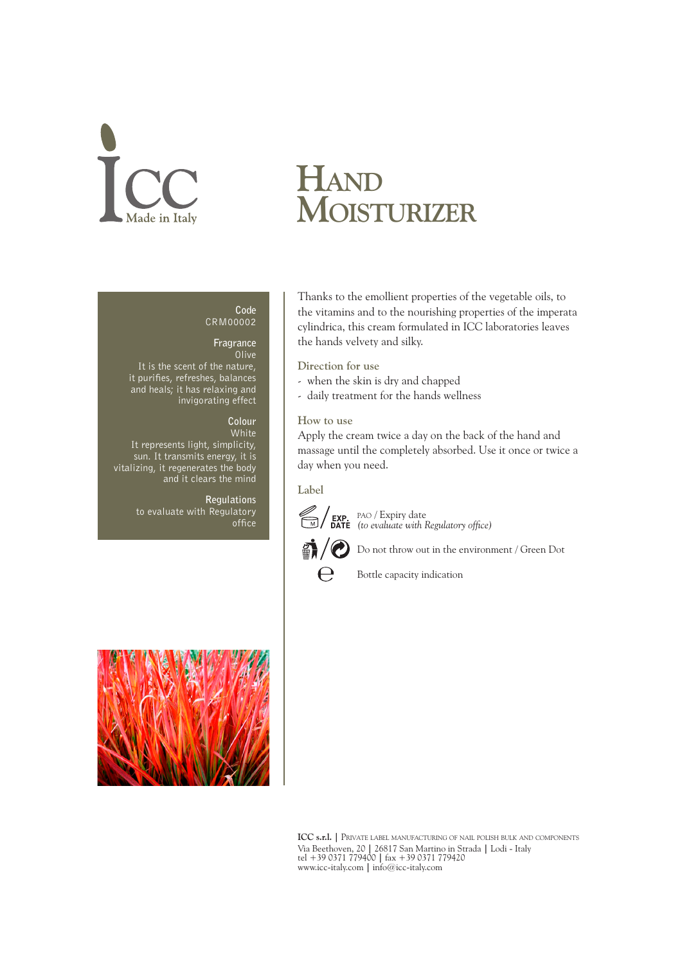# lade in Italy

## **Hand Moisturizer**

#### **Code** CRM00002

### **Fragrance**

**Olive** It is the scent of the nature, it purifies, refreshes, balances and heals; it has relaxing and invigorating effect

#### **Colour**

White It represents light, simplicity, sun. It transmits energy, it is vitalizing, it regenerates the body and it clears the mind

> **Regulations** to evaluate with Regulatory office



Thanks to the emollient properties of the vegetable oils, to the vitamins and to the nourishing properties of the imperata cylindrica, this cream formulated in ICC laboratories leaves the hands velvety and silky.

**Direction for use**

- when the skin is dry and chapped
- daily treatment for the hands wellness

**How to use** 

Apply the cream twice a day on the back of the hand and massage until the completely absorbed. Use it once or twice a day when you need.

**Label**



 $\Theta$ 

pao / Expiry date *(to evaluate with Regulatory office)*



Bottle capacity indication

**ICC s.r.l. |** Private label manufacturing of nail polish bulk and components Via Beethoven, 20 **|** 26817 San Martino in Strada **|** Lodi - Italy tel +39 0371 779400 **|** fax +39 0371 779420 www.icc-italy.com **|** info@icc-italy.com